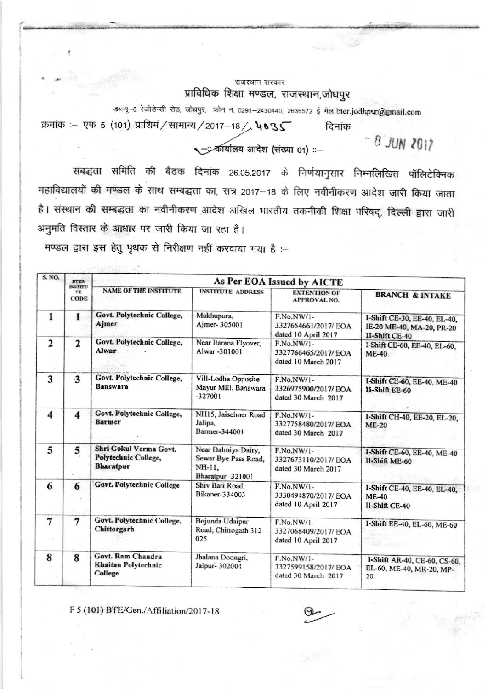## राजस्थान सरकार प्राविधिक शिक्षा मण्डल, राजस्थान,जोधपुर

डब्ल्यू-6 रेजीडेन्सी रोड, जोघपुर, फोन नं. 0291-2430440, 2636572 ई मेल bter.jodhpur@gmail.com क्रमांक :- एफ 5 (101) प्राशिमं / सामान्य / 2017-18 / 4035 दिनांक

- कार्यालय आदेश (संख्या 01) ::-

8 JUN 2017

संबद्धता समिति की बैठक दिनांक 26.05.2017 के निर्णयानुसार निम्नलिखित पॉलिटेक्निक महाविद्यालयों की मण्डल के साथ सम्बद्धता का, सत्र 2017-18 के लिए नवीनीकरण आदेश जारी किया जाता है। संस्थान की सम्बद्धता का नवीनीकरण आदेश अखिल भारतीय तकनीकी शिक्षा परिषद्, दिल्ली द्वारा जारी अनुमति विस्तार के आधार पर जारी किया जा रहा है।

मण्डल द्वारा इस हेतु पृथक से निरीक्षण नहीं करवाया गया है :-

| <b>BTER</b><br><b>INSTITU</b><br>TE<br><b>CODE</b> |                                                                           |                                                          |                                                           |                                                                             |  |
|----------------------------------------------------|---------------------------------------------------------------------------|----------------------------------------------------------|-----------------------------------------------------------|-----------------------------------------------------------------------------|--|
|                                                    | <b>NAME OF THE INSTITUTE</b>                                              | <b>INSTITUTE ADDRESS</b>                                 | <b>EXTENTION OF</b><br><b>APPROVAL NO.</b>                | <b>BRANCH &amp; INTAKE</b>                                                  |  |
| $\mathbf{1}$                                       | Govt. Polytechnic College,<br>Ajmer                                       | Makhupura,<br>Ajmer- 305001                              | F.No.NW/1-<br>3327654661/2017/EOA                         | I-Shift CE-30, EE-40, EL-40,<br>IE-20 ME-40, MA-20, PR-20<br>II-Shift CE-40 |  |
| $\mathbf{2}$                                       | Alwar                                                                     | Near Itarana Flyover,<br>Alwar-301001                    | F.No.NW/1-<br>3327766465/2017/ EOA<br>dated 10 March 2017 | I-Shift CE-60, EE-40, EL-60,<br>$ME-40$                                     |  |
| 3                                                  | Govt. Polytechnic College,<br><b>Banswara</b>                             | Vill-Lodha Opposite<br>Mayur Mill, Banswara<br>$-327001$ | F.No.NW/1-<br>3326975900/2017/ EOA<br>dated 30 March 2017 | I-Shift CE-60, EE-40, ME-40<br><b>II-Shift EE-60</b>                        |  |
| $\overline{\bf{4}}$                                | Govt. Polytechnic College,<br><b>Barmer</b>                               | NH15, Jaiselmer Road<br>Jalipa.<br>Barmer-344001         | F.No.NW/1-<br>3327758480/2017/ EOA<br>dated 30 March 2017 | I-Shift CH-40, EE-20, EL-20,<br><b>ME-20</b>                                |  |
| 5                                                  | Shri Gokul Verma Govt.<br><b>Polytechnic College,</b><br><b>Bharatpur</b> | Near Dalmiya Dairy,<br>Sewar Bye Pass Road,<br>NH-11.    | F.No.NW/1-<br>3327673110/2017/EOA<br>dated 30 March 2017  | I-Shift CE-60, EE-40, ME-40<br>II-Shift ME-60                               |  |
| 6                                                  | <b>Govt. Polytechnic College</b>                                          | Shiv Bari Road,<br>Bikaner-334003                        | F.No.NW/1-<br>3330494870/2017/ EOA<br>dated 10 April 2017 | I-Shift CE-40, EE-40, EL-40.<br>$ME-40$<br>II-Shift CE-40                   |  |
| $\overline{7}$                                     | Govt. Polytechnic College,<br>Chittorgarh                                 | Bojunda Udaipur<br>Road, Chittogarh 312<br>025           | F.No.NW/1-<br>3327068409/2017/ EOA<br>dated 10 April 2017 | I-Shift EE-40, EL-60, ME-60<br>高下 一                                         |  |
| 8                                                  | Govt. Ram Chandra<br>Khaitan Polytechnic<br>College                       | Jhalana Doongri,<br>Jaipur- 302004                       | F.No.NW/1-<br>3327599158/2017/EOA<br>dated 30 March 2017  | I-Shift AR-40, CE-60, CS-60,<br>EL-60, ME-40, MR-20, MP-<br>20              |  |
|                                                    |                                                                           | Govt. Polytechnic College,                               | Bharatpur -321001                                         | As Per EOA Issued by AICTE<br>dated 10 April 2017                           |  |

F 5 (101) BTE/Gen./Affiliation/2017-18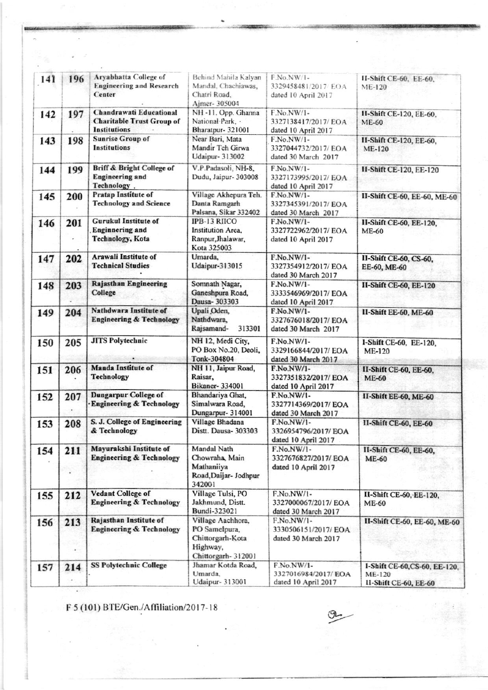| 141 | 196 | Aryabhatta College of<br><b>Engineering and Research</b><br>Center                        | Behind Mahila Kalyan<br>Mandal, Chachiawas,<br>Chatri Road<br>Ajmer- 305004               | F.No.NW/1-<br>3329458481/2017/EOA<br>dated 10 April 2017   | II-Shift CE-60, EE-60,<br><b>ME-120</b>                          |
|-----|-----|-------------------------------------------------------------------------------------------|-------------------------------------------------------------------------------------------|------------------------------------------------------------|------------------------------------------------------------------|
| 142 | 197 | <b>Chandrawati Educational</b><br><b>Charitable Trust Group of</b><br><b>Institutions</b> | NH-11, Opp. Ghanna<br>National Park,<br>Bharatpur- 321001                                 | F.No.NW/1-<br>3327138417/2017/ EOA<br>dated 10 April 2017  | II-Shift CE-120, EE-60,<br><b>ME-60</b>                          |
| 143 | 198 | <b>Sunrise Group of</b><br><b>Institutions</b>                                            | Near Bari, Mata<br>Mandir Teh Girwa<br>Udaipur- 313002                                    | F.No.NW/1-<br>3327044732/2017/EOA<br>dated 30 March 2017   | II-Shift CE-120, EE-60,<br><b>ME-120</b>                         |
| 144 | 199 | Briff & Bright College of<br><b>Engineering</b> and<br>Technology.                        | V.P.Padasoli, NH-8.<br>Dudu, Jaipur- 303008                                               | F.No.NW/1-<br>3327173995/2017/EOA<br>dated 10 April 2017   | <b>II-Shift CE-120, EE-120</b>                                   |
| 145 | 200 | Pratap Institute of<br><b>Technology and Science</b>                                      | Village Akhepura Teh.<br>Danta Ramgarh<br>Palsana, Sikar 332402                           | F.No.NW/1-<br>3327345391/2017/ EOA<br>dated 30 March 2017  | II-Shift CE-60, EE-60, ME-60                                     |
| 146 | 201 | <b>Gurukul Institute of</b><br><b>Enginnering</b> and<br><b>Technology, Kota</b>          | IPB-13 RIICO<br>Institution Area,<br>Ranpur, Jhalawar,<br>Kota 325003                     | F.No.NW/1-<br>3327722962/2017/ EOA<br>dated 10 April 2017  | II-Shift CE-60, EE-120,<br><b>ME-60</b>                          |
| 147 | 202 | Arawali Institute of<br><b>Technical Studies</b>                                          | Umarda,<br><b>Udaipur-313015</b>                                                          | F.No.NW/1-<br>3327354912/2017/ EOA<br>dated 30 March 2017  | II-Shift CE-60, CS-60,<br>EE-60, ME-60                           |
| 148 | 203 | Rajasthan Engineering<br>College                                                          | Somnath Nagar,<br>Ganeshpura Road,<br>Dausa-303303                                        | F.No.NW/1-<br>3333546969/2017/ EOA<br>dated 10 April 2017  | II-Shift CE-60, EE-120                                           |
| 149 | 204 | Nathdwara Institute of<br><b>Engineering &amp; Technology</b>                             | Upali Oden,<br>Nathdwara,<br>Rajsamand-<br>313301                                         | F.No.NW/1-<br>3327676018/2017/EOA<br>dated 30 March 2017   | II-Shift EE-60, ME-60                                            |
| 150 | 205 | <b>JITS Polytechnic</b>                                                                   | NH 12, Medi City,<br>PO Box No.20, Deoli,<br>Tonk-304804                                  | F.No.NW/1-<br>3329166844/2017/ EOA<br>dated 30 March 2017  | I-Shift CE-60, EE-120,<br><b>ME-120</b>                          |
| 151 | 206 | <b>Manda Institute of</b><br>Technology                                                   | NH 11, Jaipur Road,<br>Raisar,<br><b>Bikaner-334001</b>                                   | F.No.NW/1-<br>3327351832/2017/ EOA<br>dated 10 April 2017  | II-Shift CE-60, EE-60,<br><b>ME-60</b>                           |
| 152 | 207 | <b>Dungarpur College of</b><br>Engineering & Technology                                   | Bhandariya Ghat,<br>Simalwara Road,<br>Dungarpur- 314001                                  | F.No.NW/1-<br>3327714369/2017/ EOA<br>dated 30 March 2017  | II-Shift EE-60, ME-60                                            |
| 153 | 208 | S. J. College of Engineering<br>& Technology                                              | Village Bhadana<br>Distt. Dausa- 303303                                                   | F.No.NW/1-<br>3326954796/2017/ EOA<br>dated 10 April 2017  | II-Shift CE-60, EE-60                                            |
| 154 | 211 | Mayurakshi Institute of<br><b>Engineering &amp; Technology</b>                            | Mandal Nath<br>Chowraha, Main<br>Mathaniiya<br>Road, Daijar- Jodhpur<br>342001            | F.No.NW/1-<br>3327676827/2017/ EOA<br>dated 10 April 2017  | II-Shift CE-60, EE-60,<br><b>ME-60</b>                           |
| 155 | 212 | <b>Vedant College of</b><br><b>Engineering &amp; Technology</b>                           | Village Tulsi, PO<br>Jakhmund, Distt.<br>Bundi-323021                                     | F.No.NW/1-<br>3327000067/2017/ EOA<br>dated 30 March 2017  | II-Shift CE-60, EE-120,<br><b>ME-60</b>                          |
| 156 | 213 | Rajasthan Institute of<br><b>Engineering &amp; Technology</b>                             | Village Aachhora,<br>PO Samelpura,<br>Chittorgarh-Kota<br>Highway,<br>Chittorgarh- 312001 | $F.No.NW/1-$<br>3330506151/2017/EOA<br>dated 30 March 2017 | II-Shift CE-60, EE-60, ME-60                                     |
| 157 | 214 | <b>SS Polytechnic College</b>                                                             | Jhamar Kotda Road,<br>Umarda,<br>Udaipur- 313001                                          | F.No.NW/1-<br>3327016984/2017/EOA<br>dated 10 April 2017   | 1-Shift CE-60, CS-60, EE-120,<br>ME-120<br>II-Shift CE-60, EE-60 |

F 5 (101) BTE/Gen./Affiliation/2017-18

 $\overline{\phantom{a}}$ 

O).